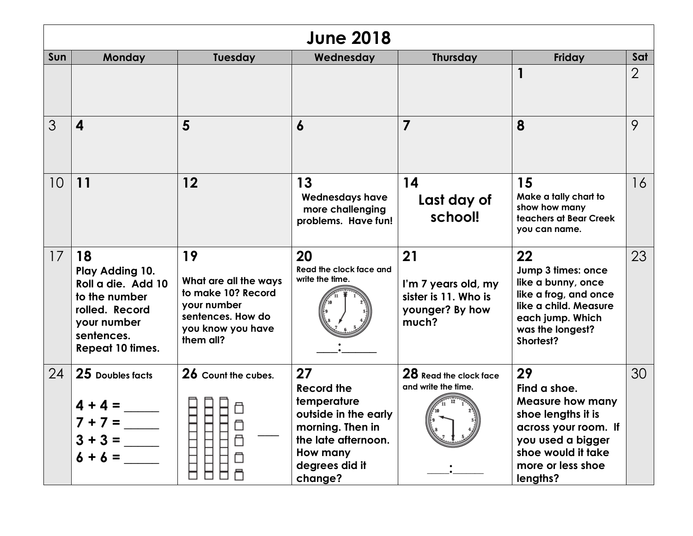| <b>June 2018</b> |                                                                                                                                        |                                                                                                                         |                                                                                                                                                    |                                                                               |                                                                                                                                                                         |                |
|------------------|----------------------------------------------------------------------------------------------------------------------------------------|-------------------------------------------------------------------------------------------------------------------------|----------------------------------------------------------------------------------------------------------------------------------------------------|-------------------------------------------------------------------------------|-------------------------------------------------------------------------------------------------------------------------------------------------------------------------|----------------|
| Sun              | <b>Monday</b>                                                                                                                          | <b>Tuesday</b>                                                                                                          | Wednesday                                                                                                                                          | <b>Thursday</b>                                                               | Friday                                                                                                                                                                  | Sat            |
|                  |                                                                                                                                        |                                                                                                                         |                                                                                                                                                    |                                                                               |                                                                                                                                                                         | $\overline{2}$ |
| 3                | $\boldsymbol{4}$                                                                                                                       | 5                                                                                                                       | 6                                                                                                                                                  | 7                                                                             | 8                                                                                                                                                                       | 9              |
| 10               | 11                                                                                                                                     | 12                                                                                                                      | 13<br><b>Wednesdays have</b><br>more challenging<br>problems. Have fun!                                                                            | 14<br>Last day of<br>school!                                                  | 15<br>Make a tally chart to<br>show how many<br>teachers at Bear Creek<br>you can name.                                                                                 | 16             |
| 17               | 18<br>Play Adding 10.<br>Roll a die. Add 10<br>to the number<br>rolled. Record<br>your number<br>sentences.<br><b>Repeat 10 times.</b> | 19<br>What are all the ways<br>to make 10? Record<br>your number<br>sentences. How do<br>you know you have<br>them all? | 20<br>Read the clock face and<br>write the time.                                                                                                   | 21<br>I'm 7 years old, my<br>sister is 11. Who is<br>younger? By how<br>much? | 22<br>Jump 3 times: once<br>like a bunny, once<br>like a frog, and once<br>like a child. Measure<br>each jump. Which<br>was the longest?<br>Shortest?                   | 23             |
| 24               | 25 Doubles facts<br>$4 + 4 =$<br>$7 +$<br>$7 =$<br>$3 + 3 =$<br>$6 + 6 =$                                                              | 26 Count the cubes.<br>∃                                                                                                | 27<br><b>Record the</b><br>temperature<br>outside in the early<br>morning. Then in<br>the late afternoon.<br>How many<br>degrees did it<br>change? | 28 Read the clock face<br>and write the time.                                 | 29<br>Find a shoe.<br><b>Measure how many</b><br>shoe lengths it is<br>across your room. If<br>you used a bigger<br>shoe would it take<br>more or less shoe<br>lengths? | 30             |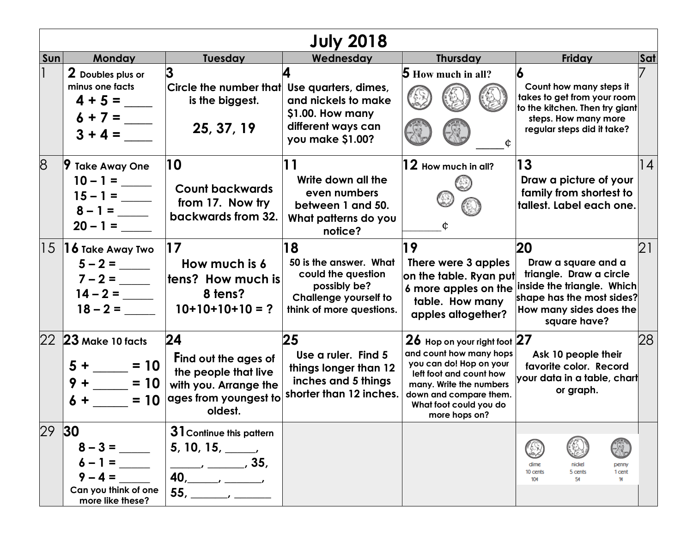| <b>July 2018</b> |                                                                               |                                                                                                                 |                                                                                                                         |                                                                                                                                                                                                               |                                                                                                                                                            |                  |  |
|------------------|-------------------------------------------------------------------------------|-----------------------------------------------------------------------------------------------------------------|-------------------------------------------------------------------------------------------------------------------------|---------------------------------------------------------------------------------------------------------------------------------------------------------------------------------------------------------------|------------------------------------------------------------------------------------------------------------------------------------------------------------|------------------|--|
| Sun              | <b>Monday</b>                                                                 | Tuesday                                                                                                         | Wednesday                                                                                                               | Thursday                                                                                                                                                                                                      | Friday                                                                                                                                                     | Sat              |  |
|                  | 2 Doubles plus or<br>minus one facts<br>$4 + 5 =$<br>$6 + 7 =$<br>$3 + 4 =$   | 3<br>Circle the number that Use quarters, dimes,<br>is the biggest.<br>25, 37, 19                               | and nickels to make<br>\$1.00. How many<br>different ways can<br>you make \$1.00?                                       | <b>5</b> How much in all?                                                                                                                                                                                     | 6<br>Count how many steps it<br>takes to get from your room<br>to the kitchen. Then try giant<br>steps. How many more<br>regular steps did it take?        |                  |  |
| 8                | <b>9 Take Away One</b><br>$10 - 1 =$<br>$15 - 1 =$<br>$8 - 1 =$<br>$20 - 1 =$ | 10<br><b>Count backwards</b><br>from 17. Now try<br>backwards from 32.                                          | Write down all the<br>even numbers<br>between 1 and 50.<br>What patterns do you<br>notice?                              | $\bm{12}$ How much in all?                                                                                                                                                                                    | 13<br>Draw a picture of your<br>family from shortest to<br>tallest. Label each one.                                                                        | 14               |  |
|                  | $ 15 $ 16 Take Away Two<br>$5 - 2 =$<br>$7 - 2 =$<br>$14 - 2 =$<br>$18 - 2 =$ | 17<br>How much is 6<br>tens? How much is<br>8 tens?<br>$10+10+10+10=?$                                          | 18<br>50 is the answer. What<br>could the question<br>possibly be?<br>Challenge yourself to<br>think of more questions. | 19<br>There were 3 apples<br>on the table. Ryan put<br>6 more apples on the<br>table. How many<br>apples altogether?                                                                                          | 20<br>Draw a square and a<br>triangle. Draw a circle<br>inside the triangle. Which<br>shape has the most sides?<br>How many sides does the<br>square have? | $\overline{2}$ 1 |  |
|                  | 22 23 Make 10 facts<br>$= 10$<br>$5 +$<br>$9 +  = 10$<br>$= 10$               | 24<br>Find out the ages of<br>the people that live<br>with you. Arrange the<br>ages from youngest to<br>oldest. | 25<br>Use a ruler. Find 5<br>things longer than 12<br>inches and 5 things<br>shorter than 12 inches.                    | 26 Hop on your right foot 27<br>and count how many hops<br>you can do! Hop on your<br>left foot and count how<br>many. Write the numbers<br>down and compare them.<br>What foot could you do<br>more hops on? | Ask 10 people their<br>favorite color. Record<br>your data in a table, chart<br>or graph.                                                                  | 28               |  |
| 29               | 30 <br>$3 =$<br>$1 =$<br>4 =<br>Can you think of one<br>more like these?      | 31 Continue this pattern<br>$5, 10, 15, \_\_$<br>$\frac{1}{2}$ , 35,<br>$55, \underline{\hspace{2cm}}$          |                                                                                                                         |                                                                                                                                                                                                               | R.<br>dime<br>nickel<br>penny<br>10 cents<br>5 cents<br>1 cent<br>10¢<br>5¢<br>1¢                                                                          |                  |  |